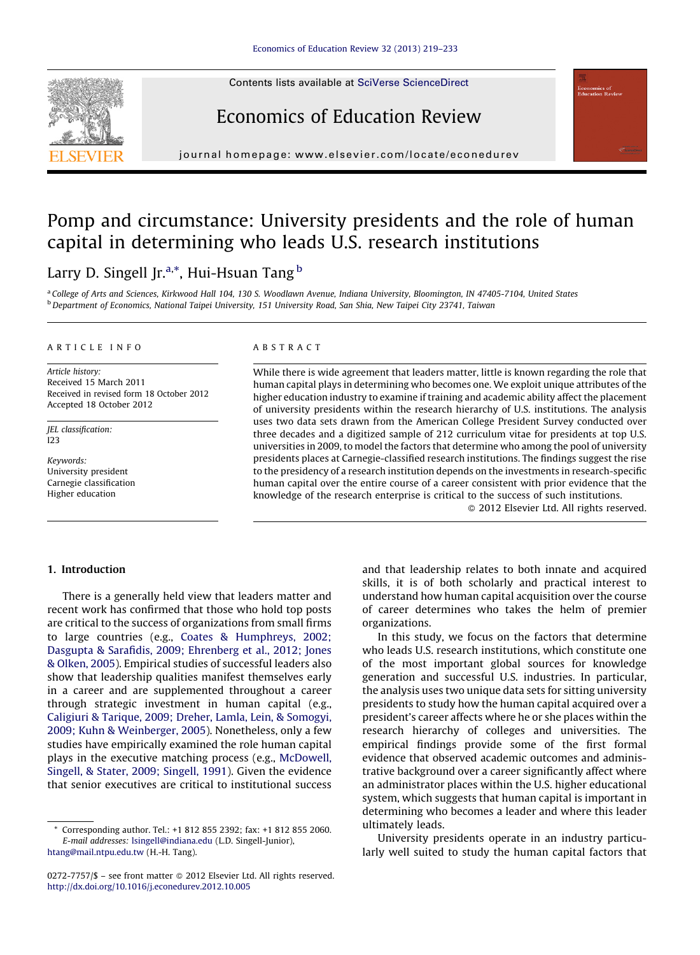Contents lists available at SciVerse ScienceDirect

## Economics of Education Review

journal homepage: www.elsevier.com/locate/econedurev

### Pomp and circumstance: University presidents and the role of human capital in determining who leads U.S. research institutions

Larry D. Singell Jr.<sup>a,\*</sup>, Hui-Hsuan Tang <sup>b</sup>

<sup>a</sup> College of Arts and Sciences, Kirkwood Hall 104, 130 S. Woodlawn Avenue, Indiana University, Bloomington, IN 47405-7104, United States <sup>b</sup> Department of Economics, National Taipei University, 151 University Road, San Shia, New Taipei City 23741, Taiwan

### ARTICLE INFO

Article history: Received 15 March 2011 Received in revised form 18 October 2012 Accepted 18 October 2012

JEL classification:  $123$ 

Keywords: University president Carnegie classification Higher education

#### ABSTRACT

While there is wide agreement that leaders matter, little is known regarding the role that human capital plays in determining who becomes one. We exploit unique attributes of the higher education industry to examine if training and academic ability affect the placement of university presidents within the research hierarchy of U.S. institutions. The analysis uses two data sets drawn from the American College President Survey conducted over three decades and a digitized sample of 212 curriculum vitae for presidents at top U.S. universities in 2009, to model the factors that determine who among the pool of university presidents places at Carnegie-classified research institutions. The findings suggest the rise to the presidency of a research institution depends on the investments in research-specific human capital over the entire course of a career consistent with prior evidence that the knowledge of the research enterprise is critical to the success of such institutions.

- 2012 Elsevier Ltd. All rights reserved.

### 1. Introduction

There is a generally held view that leaders matter and recent work has confirmed that those who hold top posts are critical to the success of organizations from small firms to large countries (e.g., [Coates & Humphreys, 2002;](#page--1-0) [Dasgupta & Sarafidis, 2009; Ehrenberg et al., 2012; Jones](#page--1-0) [& Olken, 2005\)](#page--1-0). Empirical studies of successful leaders also show that leadership qualities manifest themselves early in a career and are supplemented throughout a career through strategic investment in human capital (e.g., [Caligiuri & Tarique, 2009; Dreher, Lamla, Lein, & Somogyi,](#page--1-0) [2009; Kuhn & Weinberger, 2005](#page--1-0)). Nonetheless, only a few studies have empirically examined the role human capital plays in the executive matching process (e.g., [McDowell,](#page--1-0) [Singell, & Stater, 2009; Singell, 1991\)](#page--1-0). Given the evidence that senior executives are critical to institutional success

and that leadership relates to both innate and acquired skills, it is of both scholarly and practical interest to understand how human capital acquisition over the course of career determines who takes the helm of premier organizations.

In this study, we focus on the factors that determine who leads U.S. research institutions, which constitute one of the most important global sources for knowledge generation and successful U.S. industries. In particular, the analysis uses two unique data sets for sitting university presidents to study how the human capital acquired over a president's career affects where he or she places within the research hierarchy of colleges and universities. The empirical findings provide some of the first formal evidence that observed academic outcomes and administrative background over a career significantly affect where an administrator places within the U.S. higher educational system, which suggests that human capital is important in determining who becomes a leader and where this leader ultimately leads.

University presidents operate in an industry particularly well suited to study the human capital factors that



<sup>\*</sup> Corresponding author. Tel.: +1 812 855 2392; fax: +1 812 855 2060. E-mail addresses: [lsingell@indiana.edu](mailto:lsingell@indiana.edu) (L.D. Singell-Junior), [htang@mail.ntpu.edu.tw](mailto:htang@mail.ntpu.edu.tw) (H.-H. Tang).

<sup>0272-7757/\$ –</sup> see front matter © 2012 Elsevier Ltd. All rights reserved. <http://dx.doi.org/10.1016/j.econedurev.2012.10.005>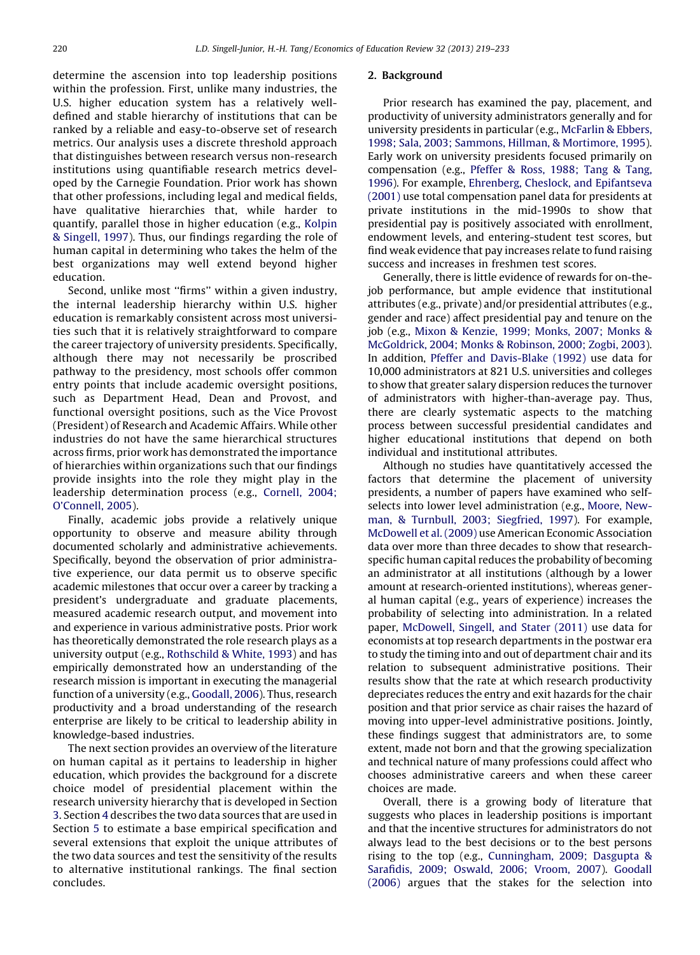determine the ascension into top leadership positions within the profession. First, unlike many industries, the U.S. higher education system has a relatively welldefined and stable hierarchy of institutions that can be ranked by a reliable and easy-to-observe set of research metrics. Our analysis uses a discrete threshold approach that distinguishes between research versus non-research institutions using quantifiable research metrics developed by the Carnegie Foundation. Prior work has shown that other professions, including legal and medical fields, have qualitative hierarchies that, while harder to quantify, parallel those in higher education (e.g., [Kolpin](#page--1-0) [& Singell, 1997](#page--1-0)). Thus, our findings regarding the role of human capital in determining who takes the helm of the best organizations may well extend beyond higher education.

Second, unlike most "firms" within a given industry, the internal leadership hierarchy within U.S. higher education is remarkably consistent across most universities such that it is relatively straightforward to compare the career trajectory of university presidents. Specifically, although there may not necessarily be proscribed pathway to the presidency, most schools offer common entry points that include academic oversight positions, such as Department Head, Dean and Provost, and functional oversight positions, such as the Vice Provost (President) of Research and Academic Affairs. While other industries do not have the same hierarchical structures across firms, prior work has demonstrated the importance of hierarchies within organizations such that our findings provide insights into the role they might play in the leadership determination process (e.g., [Cornell, 2004;](#page--1-0) [O'Connell, 2005\)](#page--1-0).

Finally, academic jobs provide a relatively unique opportunity to observe and measure ability through documented scholarly and administrative achievements. Specifically, beyond the observation of prior administrative experience, our data permit us to observe specific academic milestones that occur over a career by tracking a president's undergraduate and graduate placements, measured academic research output, and movement into and experience in various administrative posts. Prior work has theoretically demonstrated the role research plays as a university output (e.g., [Rothschild & White, 1993\)](#page--1-0) and has empirically demonstrated how an understanding of the research mission is important in executing the managerial function of a university (e.g., [Goodall, 2006](#page--1-0)). Thus, research productivity and a broad understanding of the research enterprise are likely to be critical to leadership ability in knowledge-based industries.

The next section provides an overview of the literature on human capital as it pertains to leadership in higher education, which provides the background for a discrete choice model of presidential placement within the research university hierarchy that is developed in Section [3](#page--1-0). Section [4](#page--1-0) describes the two data sources that are used in Section [5](#page--1-0) to estimate a base empirical specification and several extensions that exploit the unique attributes of the two data sources and test the sensitivity of the results to alternative institutional rankings. The final section concludes.

#### 2. Background

Prior research has examined the pay, placement, and productivity of university administrators generally and for university presidents in particular (e.g., [McFarlin & Ebbers,](#page--1-0) [1998; Sala, 2003; Sammons, Hillman, & Mortimore, 1995](#page--1-0)). Early work on university presidents focused primarily on compensation (e.g., [Pfeffer & Ross, 1988; Tang & Tang,](#page--1-0) [1996\)](#page--1-0). For example, [Ehrenberg, Cheslock, and Epifantseva](#page--1-0) [\(2001\)](#page--1-0) use total compensation panel data for presidents at private institutions in the mid-1990s to show that presidential pay is positively associated with enrollment, endowment levels, and entering-student test scores, but find weak evidence that pay increases relate to fund raising success and increases in freshmen test scores.

Generally, there is little evidence of rewards for on-thejob performance, but ample evidence that institutional attributes (e.g., private) and/or presidential attributes (e.g., gender and race) affect presidential pay and tenure on the job (e.g., [Mixon & Kenzie, 1999; Monks, 2007; Monks &](#page--1-0) [McGoldrick, 2004; Monks & Robinson, 2000; Zogbi, 2003](#page--1-0)). In addition, [Pfeffer and Davis-Blake \(1992\)](#page--1-0) use data for 10,000 administrators at 821 U.S. universities and colleges to show that greater salary dispersion reduces the turnover of administrators with higher-than-average pay. Thus, there are clearly systematic aspects to the matching process between successful presidential candidates and higher educational institutions that depend on both individual and institutional attributes.

Although no studies have quantitatively accessed the factors that determine the placement of university presidents, a number of papers have examined who selfselects into lower level administration (e.g., [Moore, New](#page--1-0)[man, & Turnbull, 2003; Siegfried, 1997](#page--1-0)). For example, [McDowell et al. \(2009\)](#page--1-0) use American Economic Association data over more than three decades to show that researchspecific human capital reduces the probability of becoming an administrator at all institutions (although by a lower amount at research-oriented institutions), whereas general human capital (e.g., years of experience) increases the probability of selecting into administration. In a related paper, [McDowell, Singell, and Stater \(2011\)](#page--1-0) use data for economists at top research departments in the postwar era to study the timing into and out of department chair and its relation to subsequent administrative positions. Their results show that the rate at which research productivity depreciates reduces the entry and exit hazards for the chair position and that prior service as chair raises the hazard of moving into upper-level administrative positions. Jointly, these findings suggest that administrators are, to some extent, made not born and that the growing specialization and technical nature of many professions could affect who chooses administrative careers and when these career choices are made.

Overall, there is a growing body of literature that suggests who places in leadership positions is important and that the incentive structures for administrators do not always lead to the best decisions or to the best persons rising to the top (e.g., [Cunningham, 2009; Dasgupta &](#page--1-0) [Sarafidis, 2009; Oswald, 2006; Vroom, 2007\)](#page--1-0). [Goodall](#page--1-0) [\(2006\)](#page--1-0) argues that the stakes for the selection into